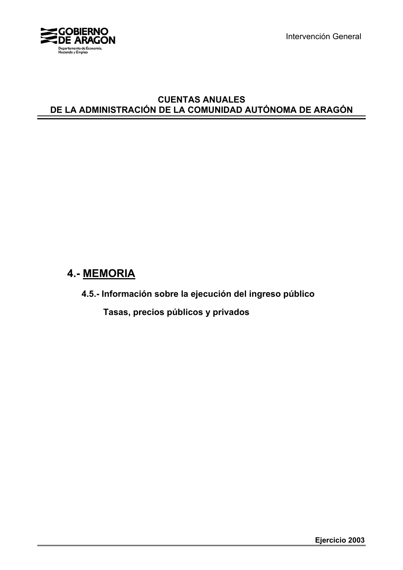

Intervención General

## **CUENTAS ANUALES DE LA ADMINISTRACIÓN DE LA COMUNIDAD AUTÓNOMA DE ARAGÓN**

# **4.- MEMORIA**

**4.5.- Información sobre la ejecución del ingreso público**

 **Tasas, precios públicos y privados**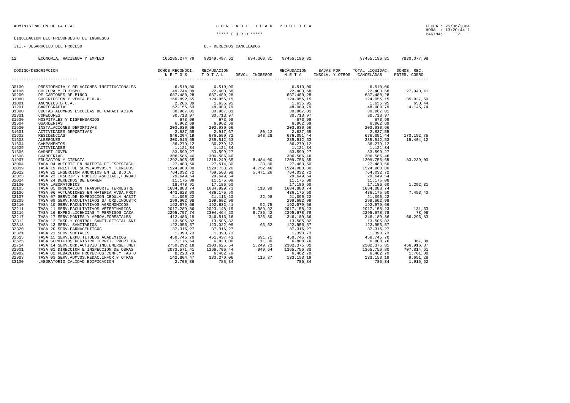### ADMINISTRACION DE LA C.A. CARREGATE DE LA CONTRESSE DE LA CONTRESSE DE LA PUBLICA E

LIQUIDACION DEL PRESUPUESTO DE INGRESOS

III.- DESARROLLO DEL PROCESO B.- DERECHOS CANCELADOS

| 12 | ECONOMIA, HACIENDA Y EMPLEO |  |  | 105285.274,79  98149.497,62   694.300,81  97455.196,81           97455.196,81   7830.077,98 |  |
|----|-----------------------------|--|--|---------------------------------------------------------------------------------------------|--|
|    |                             |  |  |                                                                                             |  |
|    |                             |  |  |                                                                                             |  |
|    |                             |  |  |                                                                                             |  |
|    |                             |  |  |                                                                                             |  |
|    |                             |  |  |                                                                                             |  |
|    |                             |  |  |                                                                                             |  |
|    |                             |  |  |                                                                                             |  |
|    |                             |  |  |                                                                                             |  |
|    |                             |  |  |                                                                                             |  |
|    |                             |  |  |                                                                                             |  |
|    |                             |  |  |                                                                                             |  |
|    |                             |  |  |                                                                                             |  |
|    |                             |  |  |                                                                                             |  |
|    |                             |  |  |                                                                                             |  |
|    |                             |  |  |                                                                                             |  |
|    |                             |  |  |                                                                                             |  |
|    |                             |  |  |                                                                                             |  |
|    |                             |  |  |                                                                                             |  |
|    |                             |  |  |                                                                                             |  |
|    |                             |  |  |                                                                                             |  |
|    |                             |  |  |                                                                                             |  |
|    |                             |  |  |                                                                                             |  |
|    |                             |  |  |                                                                                             |  |
|    |                             |  |  |                                                                                             |  |
|    |                             |  |  |                                                                                             |  |
|    |                             |  |  |                                                                                             |  |
|    |                             |  |  |                                                                                             |  |
|    |                             |  |  |                                                                                             |  |
|    |                             |  |  |                                                                                             |  |
|    |                             |  |  |                                                                                             |  |
|    |                             |  |  |                                                                                             |  |
|    |                             |  |  |                                                                                             |  |
|    |                             |  |  |                                                                                             |  |
|    |                             |  |  |                                                                                             |  |
|    |                             |  |  |                                                                                             |  |
|    |                             |  |  |                                                                                             |  |
|    |                             |  |  |                                                                                             |  |
|    |                             |  |  |                                                                                             |  |
|    |                             |  |  |                                                                                             |  |
|    |                             |  |  |                                                                                             |  |
|    |                             |  |  |                                                                                             |  |
|    |                             |  |  |                                                                                             |  |
|    |                             |  |  |                                                                                             |  |
|    |                             |  |  |                                                                                             |  |
|    |                             |  |  |                                                                                             |  |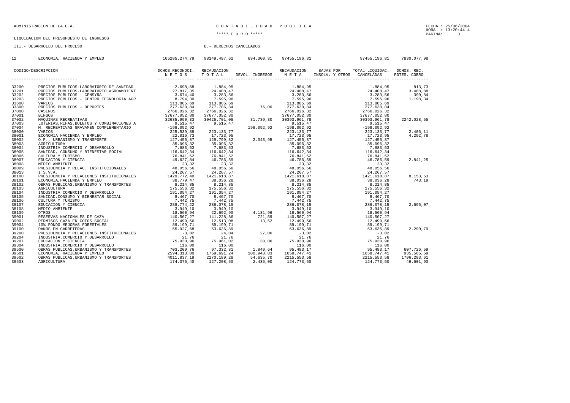#### ADMINISTRACION DE LA C.A. C O N T A B I L I D A D P U B L I C A

## LIQUIDACION DEL PRESUPUESTO DE INGRESOS

III.- DESARROLLO DEL PROCESO B.- DERECHOS CANCELADOS

| 12    | ECONOMIA, HACIENDA Y EMPLEO |  |  | 105285.274,79 98149.497,62 694.300,81 97455.196,81 97455.196,81 97455.196,81 7830.077,98 |  |
|-------|-----------------------------|--|--|------------------------------------------------------------------------------------------|--|
|       |                             |  |  |                                                                                          |  |
|       |                             |  |  |                                                                                          |  |
|       |                             |  |  |                                                                                          |  |
| 33200 |                             |  |  |                                                                                          |  |
| 33201 |                             |  |  |                                                                                          |  |
| 33202 |                             |  |  |                                                                                          |  |
| 33203 |                             |  |  |                                                                                          |  |
| 33600 |                             |  |  |                                                                                          |  |
| 33800 |                             |  |  |                                                                                          |  |
| 37000 |                             |  |  |                                                                                          |  |
| 37001 |                             |  |  |                                                                                          |  |
| 37002 |                             |  |  |                                                                                          |  |
| 37003 |                             |  |  |                                                                                          |  |
| 37004 |                             |  |  |                                                                                          |  |
| 38000 |                             |  |  |                                                                                          |  |
| 38001 |                             |  |  |                                                                                          |  |
| 38002 |                             |  |  |                                                                                          |  |
| 38003 |                             |  |  |                                                                                          |  |
| 38004 |                             |  |  |                                                                                          |  |
| 38005 |                             |  |  |                                                                                          |  |
| 38006 |                             |  |  |                                                                                          |  |
| 38007 |                             |  |  |                                                                                          |  |
| 38008 |                             |  |  |                                                                                          |  |
| 38009 |                             |  |  |                                                                                          |  |
| 38013 |                             |  |  |                                                                                          |  |
| 38100 |                             |  |  |                                                                                          |  |
| 38101 |                             |  |  |                                                                                          |  |
| 38102 |                             |  |  |                                                                                          |  |
| 38103 |                             |  |  |                                                                                          |  |
| 38104 |                             |  |  |                                                                                          |  |
| 38105 |                             |  |  |                                                                                          |  |
| 38106 |                             |  |  |                                                                                          |  |
| 38107 |                             |  |  |                                                                                          |  |
| 38108 |                             |  |  |                                                                                          |  |
| 38109 |                             |  |  |                                                                                          |  |
| 39001 |                             |  |  |                                                                                          |  |
| 39002 |                             |  |  |                                                                                          |  |
| 39004 |                             |  |  |                                                                                          |  |
| 39100 |                             |  |  |                                                                                          |  |
| 39200 |                             |  |  |                                                                                          |  |
| 39204 |                             |  |  |                                                                                          |  |
| 39207 |                             |  |  |                                                                                          |  |
| 39304 |                             |  |  |                                                                                          |  |
| 39500 |                             |  |  |                                                                                          |  |
| 39501 |                             |  |  |                                                                                          |  |
| 39502 |                             |  |  |                                                                                          |  |
| 39503 |                             |  |  |                                                                                          |  |
|       |                             |  |  |                                                                                          |  |